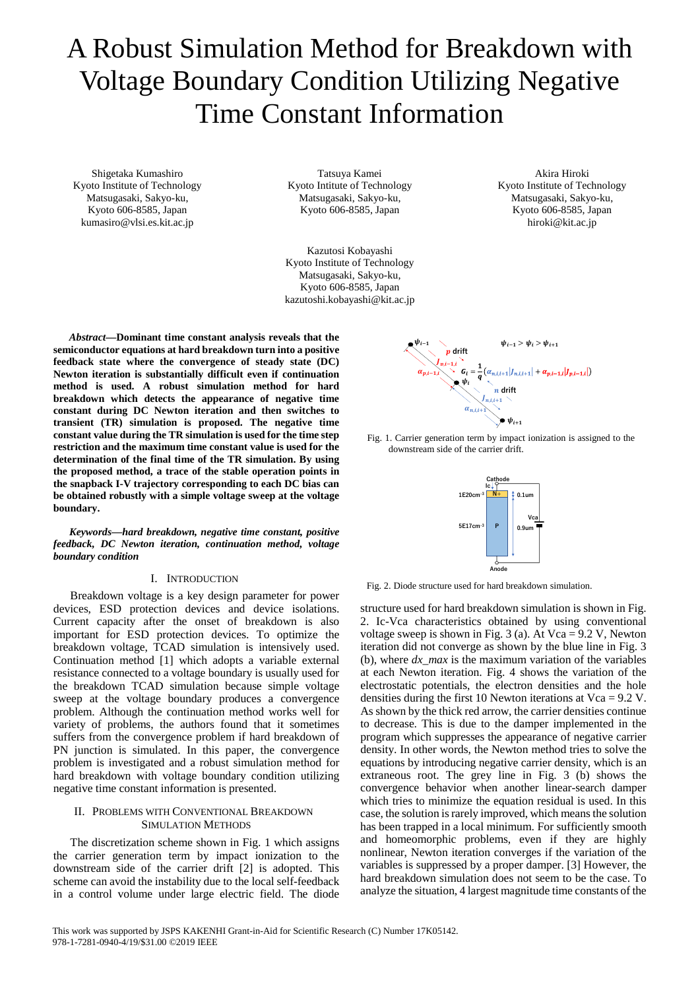# A Robust Simulation Method for Breakdown with Voltage Boundary Condition Utilizing Negative Time Constant Information

Shigetaka Kumashiro Kyoto Institute of Technology Matsugasaki, Sakyo-ku, Kyoto 606-8585, Japan kumasiro@vlsi.es.kit.ac.jp

Tatsuya Kamei Kyoto Intitute of Technology Matsugasaki, Sakyo-ku, Kyoto 606-8585, Japan

Kazutosi Kobayashi Kyoto Institute of Technology Matsugasaki, Sakyo-ku, Kyoto 606-8585, Japan kazutoshi.kobayashi@kit.ac.jp

Akira Hiroki Kyoto Institute of Technology Matsugasaki, Sakyo-ku, Kyoto 606-8585, Japan hiroki@kit.ac.jp

*Abstract***—Dominant time constant analysis reveals that the semiconductor equations at hard breakdown turn into a positive feedback state where the convergence of steady state (DC) Newton iteration is substantially difficult even if continuation method is used. A robust simulation method for hard breakdown which detects the appearance of negative time constant during DC Newton iteration and then switches to transient (TR) simulation is proposed. The negative time constant value during the TR simulation is used for the time step restriction and the maximum time constant value is used for the determination of the final time of the TR simulation. By using the proposed method, a trace of the stable operation points in the snapback I-V trajectory corresponding to each DC bias can be obtained robustly with a simple voltage sweep at the voltage boundary.** 

*Keywords—hard breakdown, negative time constant, positive feedback, DC Newton iteration, continuation method, voltage boundary condition*

## I. INTRODUCTION

Breakdown voltage is a key design parameter for power devices, ESD protection devices and device isolations. Current capacity after the onset of breakdown is also important for ESD protection devices. To optimize the breakdown voltage, TCAD simulation is intensively used. Continuation method [1] which adopts a variable external resistance connected to a voltage boundary is usually used for the breakdown TCAD simulation because simple voltage sweep at the voltage boundary produces a convergence problem. Although the continuation method works well for variety of problems, the authors found that it sometimes suffers from the convergence problem if hard breakdown of PN junction is simulated. In this paper, the convergence problem is investigated and a robust simulation method for hard breakdown with voltage boundary condition utilizing negative time constant information is presented.

## II. PROBLEMS WITH CONVENTIONAL BREAKDOWN SIMULATION METHODS

The discretization scheme shown in Fig. 1 which assigns the carrier generation term by impact ionization to the downstream side of the carrier drift [2] is adopted. This scheme can avoid the instability due to the local self-feedback in a control volume under large electric field. The diode



Fig. 1. Carrier generation term by impact ionization is assigned to the downstream side of the carrier drift.



Fig. 2. Diode structure used for hard breakdown simulation.

structure used for hard breakdown simulation is shown in Fig. 2. Ic-Vca characteristics obtained by using conventional voltage sweep is shown in Fig. 3 (a). At Vca =  $9.2$  V, Newton iteration did not converge as shown by the blue line in Fig. 3 (b), where  $dx$  max is the maximum variation of the variables at each Newton iteration. Fig. 4 shows the variation of the electrostatic potentials, the electron densities and the hole densities during the first 10 Newton iterations at Vca = 9.2 V. As shown by the thick red arrow, the carrier densities continue to decrease. This is due to the damper implemented in the program which suppresses the appearance of negative carrier density. In other words, the Newton method tries to solve the equations by introducing negative carrier density, which is an extraneous root. The grey line in Fig. 3 (b) shows the convergence behavior when another linear-search damper which tries to minimize the equation residual is used. In this case, the solution is rarely improved, which means the solution has been trapped in a local minimum. For sufficiently smooth and homeomorphic problems, even if they are highly nonlinear, Newton iteration converges if the variation of the variables is suppressed by a proper damper. [3] However, the hard breakdown simulation does not seem to be the case. To analyze the situation, 4 largest magnitude time constants of the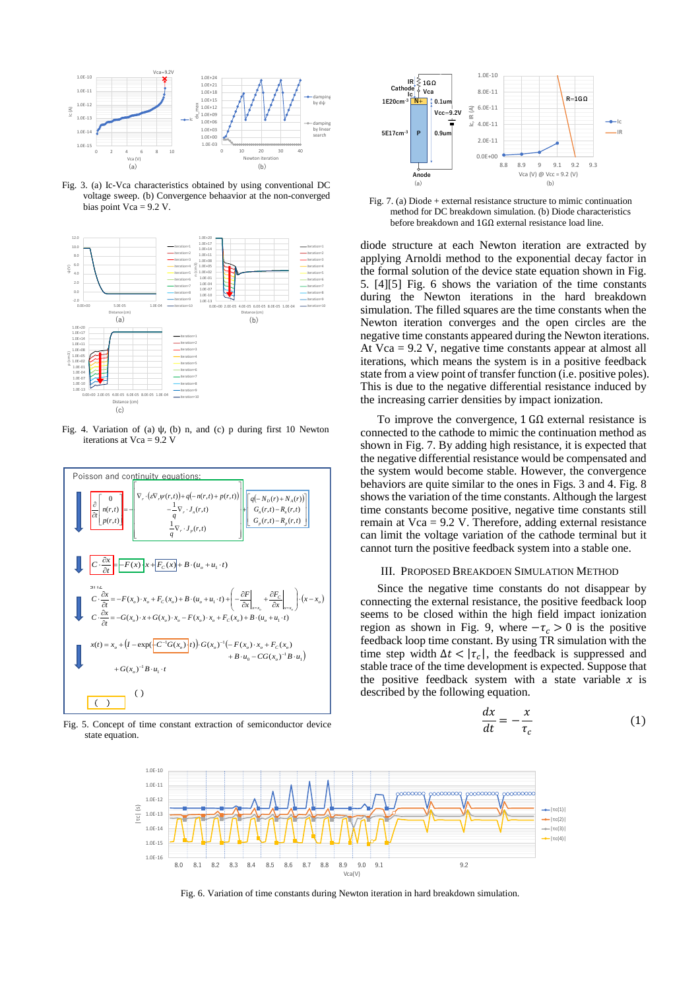

Fig. 3. (a) Ic-Vca characteristics obtained by using conventional DC voltage sweep. (b) Convergence behaavior at the non-converged bias point Vca = 9.2 V.



Fig. 4. Variation of (a)  $\psi$ , (b) n, and (c) p during first 10 Newton iterations at  $Vca = 9.2$  V



Fig. 5. Concept of time constant extraction of semiconductor device state equation.



Fig. 7. (a) Diode + external resistance structure to mimic continuation method for DC breakdown simulation. (b) Diode characteristics before breakdown and 1GΩ external resistance load line.

diode structure at each Newton iteration are extracted by applying Arnoldi method to the exponential decay factor in the formal solution of the device state equation shown in Fig. 5. [4][5] Fig. 6 shows the variation of the time constants during the Newton iterations in the hard breakdown simulation. The filled squares are the time constants when the Newton iteration converges and the open circles are the negative time constants appeared during the Newton iterations. At Vca = 9.2 V, negative time constants appear at almost all iterations, which means the system is in a positive feedback state from a view point of transfer function (i.e. positive poles). This is due to the negative differential resistance induced by the increasing carrier densities by impact ionization.

To improve the convergence,  $1 \text{ G}\Omega$  external resistance is connected to the cathode to mimic the continuation method as shown in Fig. 7. By adding high resistance, it is expected that the negative differential resistance would be compensated and the system would become stable. However, the convergence behaviors are quite similar to the ones in Figs. 3 and 4. Fig. 8 shows the variation of the time constants. Although the largest time constants become positive, negative time constants still remain at Vca = 9.2 V. Therefore, adding external resistance can limit the voltage variation of the cathode terminal but it cannot turn the positive feedback system into a stable one.

### III. PROPOSED BREAKDOEN SIMULATION METHOD

Since the negative time constants do not disappear by connecting the external resistance, the positive feedback loop seems to be closed within the high field impact ionization region as shown in Fig. 9, where  $-\tau_c > 0$  is the positive feedback loop time constant. By using TR simulation with the time step width  $\Delta t < |\tau_c|$ , the feedback is suppressed and stable trace of the time development is expected. Suppose that the positive feedback system with a state variable  $x$  is described by the following equation.

$$
\frac{dx}{dt} = -\frac{x}{\tau_c} \tag{1}
$$



Fig. 6. Variation of time constants during Newton iteration in hard breakdown simulation.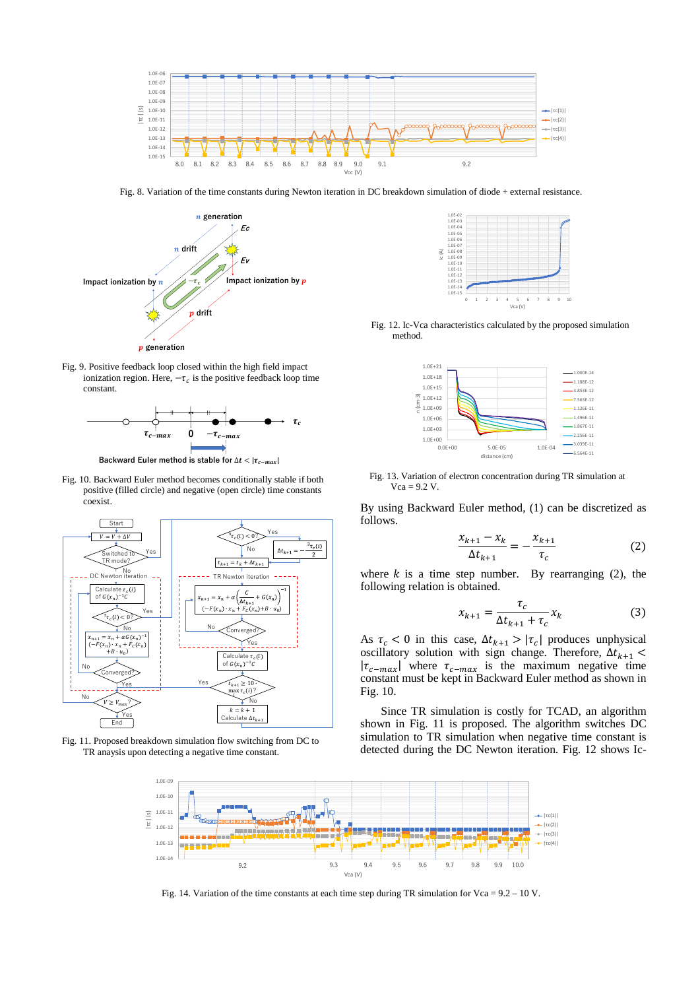

Fig. 8. Variation of the time constants during Newton iteration in DC breakdown simulation of diode + external resistance.



Fig. 9. Positive feedback loop closed within the high field impact ionization region. Here,  $-\tau_c$  is the positive feedback loop time constant.



Backward Euler method is stable for  $\Delta t < |\tau_c|$ .

Fig. 10. Backward Euler method becomes conditionally stable if both positive (filled circle) and negative (open circle) time constants coexist.



Fig. 11. Proposed breakdown simulation flow switching from DC to TR anaysis upon detecting a negative time constant.



Fig. 12. Ic-Vca characteristics calculated by the proposed simulation method.



Fig. 13. Variation of electron concentration during TR simulation at  $Vca = 9.2 V.$ 

By using Backward Euler method, (1) can be discretized as follows.

$$
\frac{x_{k+1} - x_k}{\Delta t_{k+1}} = -\frac{x_{k+1}}{\tau_c}
$$
 (2)

where  $k$  is a time step number. By rearranging (2), the following relation is obtained.

$$
x_{k+1} = \frac{\tau_c}{\Delta t_{k+1} + \tau_c} x_k \tag{3}
$$

As  $\tau_c$  < 0 in this case,  $\Delta t_{k+1} > |\tau_c|$  produces unphysical oscillatory solution with sign change. Therefore,  $\Delta t_{k+1}$  <  $|\tau_{c-max}|$  where  $\tau_{c-max}$  is the maximum negative time constant must be kept in Backward Euler method as shown in Fig. 10.

Since TR simulation is costly for TCAD, an algorithm shown in Fig. 11 is proposed. The algorithm switches DC simulation to TR simulation when negative time constant is detected during the DC Newton iteration. Fig. 12 shows Ic-



Fig. 14. Variation of the time constants at each time step during TR simulation for Vca = 9.2 – 10 V.